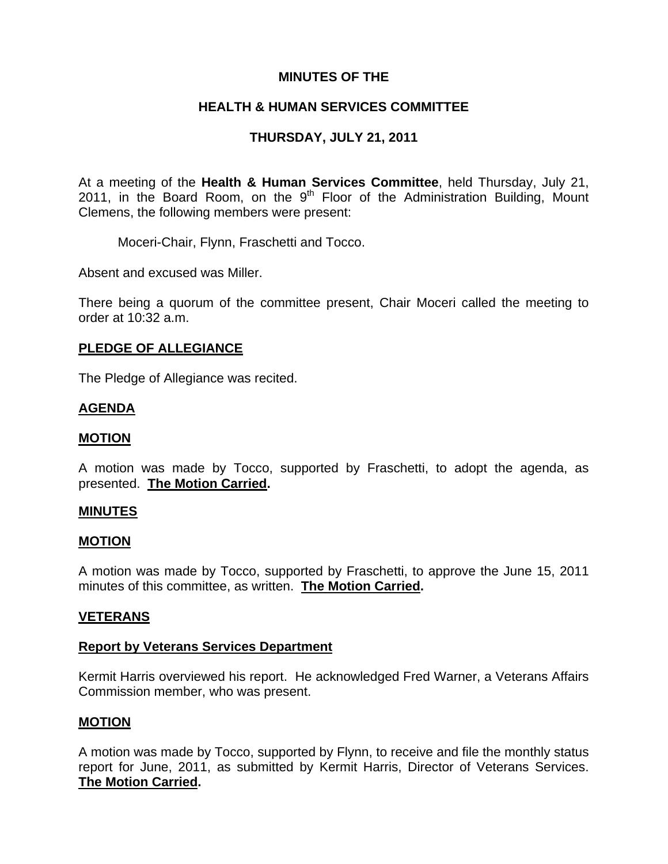# **MINUTES OF THE**

# **HEALTH & HUMAN SERVICES COMMITTEE**

# **THURSDAY, JULY 21, 2011**

At a meeting of the **Health & Human Services Committee**, held Thursday, July 21, 2011, in the Board Room, on the  $9<sup>th</sup>$  Floor of the Administration Building, Mount Clemens, the following members were present:

Moceri-Chair, Flynn, Fraschetti and Tocco.

Absent and excused was Miller.

There being a quorum of the committee present, Chair Moceri called the meeting to order at 10:32 a.m.

### **PLEDGE OF ALLEGIANCE**

The Pledge of Allegiance was recited.

### **AGENDA**

#### **MOTION**

A motion was made by Tocco, supported by Fraschetti, to adopt the agenda, as presented. **The Motion Carried.** 

#### **MINUTES**

#### **MOTION**

A motion was made by Tocco, supported by Fraschetti, to approve the June 15, 2011 minutes of this committee, as written. **The Motion Carried.** 

#### **VETERANS**

#### **Report by Veterans Services Department**

Kermit Harris overviewed his report. He acknowledged Fred Warner, a Veterans Affairs Commission member, who was present.

#### **MOTION**

A motion was made by Tocco, supported by Flynn, to receive and file the monthly status report for June, 2011, as submitted by Kermit Harris, Director of Veterans Services. **The Motion Carried.**